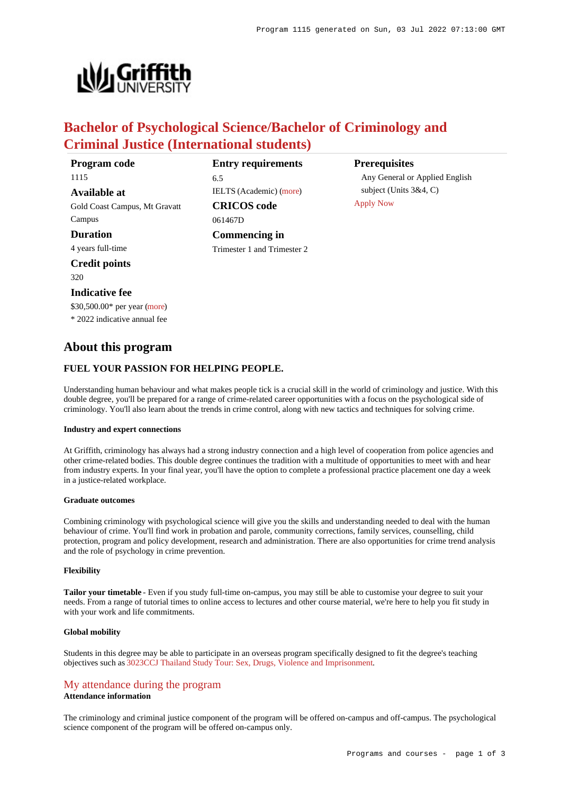

# **Bachelor of Psychological Science/Bachelor of Criminology and Criminal Justice (International students)**

**Program code** 1115 **Available at** Gold Coast Campus, Mt Gravatt Campus **Duration** 4 years full-time **Credit points** 320 **Indicative fee**

# **Entry requirements**

IELTS (Academic) [\(more](https://www148.griffith.edu.au/programs-courses/Program/1115/HowToApply/International#language))

**CRICOS code**

**Commencing in** Trimester 1 and Trimester 2

061467D

6.5

### **Prerequisites**

Any General or Applied English subject (Units 3&4, C) [Apply Now](https://www148.griffith.edu.au/programs-courses/Program/1115/HowToApply/International#process)

# **About this program**

\$30,500.00\* per year [\(more](https://www148.griffith.edu.au/programs-courses/Program/1115/Overview/International#fees)) \* 2022 indicative annual fee

# **FUEL YOUR PASSION FOR HELPING PEOPLE.**

Understanding human behaviour and what makes people tick is a crucial skill in the world of criminology and justice. With this double degree, you'll be prepared for a range of crime-related career opportunities with a focus on the psychological side of criminology. You'll also learn about the trends in crime control, along with new tactics and techniques for solving crime.

### **Industry and expert connections**

At Griffith, criminology has always had a strong industry connection and a high level of cooperation from police agencies and other crime-related bodies. This double degree continues the tradition with a multitude of opportunities to meet with and hear from industry experts. In your final year, you'll have the option to complete a professional practice placement one day a week in a justice-related workplace.

#### **Graduate outcomes**

Combining criminology with psychological science will give you the skills and understanding needed to deal with the human behaviour of crime. You'll find work in probation and parole, community corrections, family services, counselling, child protection, program and policy development, research and administration. There are also opportunities for crime trend analysis and the role of psychology in crime prevention.

### **Flexibility**

**Tailor your timetable** - Even if you study full-time on-campus, you may still be able to customise your degree to suit your needs. From a range of tutorial times to online access to lectures and other course material, we're here to help you fit study in with your work and life commitments.

#### **Global mobility**

Students in this degree may be able to participate in an overseas program specifically designed to fit the degree's teaching objectives such as [3023CCJ Thailand Study Tour: Sex, Drugs, Violence and Imprisonment](https://www148.griffith.edu.au/Course/3023CCJ).

# [My attendance during the program](https://www148.griffith.edu.au/programs-courses/Program/1115/Overview/International#attendance)

# **Attendance information**

The criminology and criminal justice component of the program will be offered on-campus and off-campus. The psychological science component of the program will be offered on-campus only.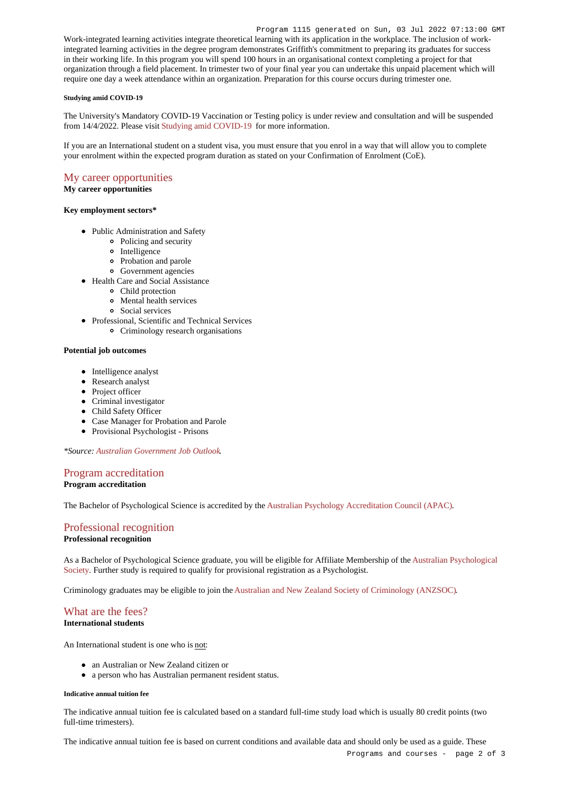Work-integrated learning activities integrate theoretical learning with its application in the workplace. The inclusion of workintegrated learning activities in the degree program demonstrates Griffith's commitment to preparing its graduates for success in their working life. In this program you will spend 100 hours in an organisational context completing a project for that organization through a field placement. In trimester two of your final year you can undertake this unpaid placement which will require one day a week attendance within an organization. Preparation for this course occurs during trimester one.

#### **Studying amid COVID-19**

The University's Mandatory COVID-19 Vaccination or Testing policy is under review and consultation and will be suspended from 14/4/2022. Please visit [Studying amid COVID-19](https://www.griffith.edu.au/coronavirus/studying-amid-covid-19) for more information.

If you are an International student on a student visa, you must ensure that you enrol in a way that will allow you to complete your enrolment within the expected program duration as stated on your Confirmation of Enrolment (CoE).

# [My career opportunities](https://www148.griffith.edu.au/programs-courses/Program/1115/Overview/International#opportunities)

#### **My career opportunities**

#### **Key employment sectors\***

- Public Administration and Safety
	- Policing and security
	- o Intelligence
	- Probation and parole
	- Government agencies
- Health Care and Social Assistance
	- Child protection
	- Mental health services
	- Social services
- Professional, Scientific and Technical Services
	- Criminology research organisations

#### **Potential job outcomes**

- Intelligence analyst
- Research analyst
- Project officer
- Criminal investigator
- Child Safety Officer
- Case Manager for Probation and Parole
- Provisional Psychologist Prisons

*\*Source: [Australian Government Job Outlook](https://joboutlook.gov.au/).*

# [Program accreditation](https://www148.griffith.edu.au/programs-courses/Program/1115/Overview/International#accreditation)

**Program accreditation**

The Bachelor of Psychological Science is accredited by the [Australian Psychology Accreditation Council \(APAC\)](https://www.psychologycouncil.org.au/APAC_accredited_psychology_programs_australasia).

# [Professional recognition](https://www148.griffith.edu.au/programs-courses/Program/1115/Overview/International#recognition)

# **Professional recognition**

As a Bachelor of Psychological Science graduate, you will be eligible for Affiliate Membership of the [Australian Psychological](http://www.psychology.org.au/) [Society](http://www.psychology.org.au/). Further study is required to qualify for provisional registration as a Psychologist.

Criminology graduates may be eligible to join the [Australian and New Zealand Society of Criminology \(ANZSOC\)](http://www.anzsoc.org/).

#### [What are the fees?](https://www148.griffith.edu.au/programs-courses/Program/1115/Overview/International#fees) **International students**

An International student is one who is not:

- an Australian or New Zealand citizen or
- a person who has Australian permanent resident status.

#### **Indicative annual tuition fee**

The indicative annual tuition fee is calculated based on a standard full-time study load which is usually 80 credit points (two full-time trimesters).

The indicative annual tuition fee is based on current conditions and available data and should only be used as a guide. These